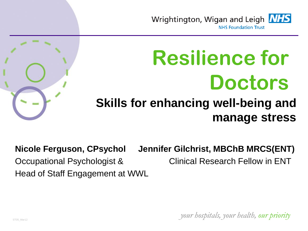



#### **Skills for enhancing well-being and manage stress**

**Nicole Ferguson, CPsychol Jennifer Gilchrist, MBChB MRCS(ENT)** Occupational Psychologist & Clinical Research Fellow in ENT Head of Staff Engagement at WWL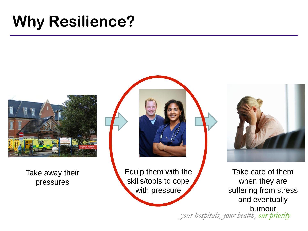### **Why Resilience?**



Take away their pressures

Equip them with the skills/tools to cope with pressure



*your hospitals, your health, our priority* Take care of them when they are suffering from stress and eventually burnout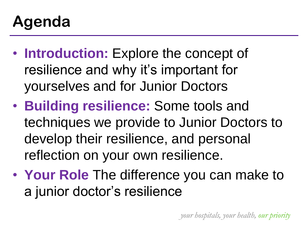## **Agenda**

- **Introduction:** Explore the concept of resilience and why it's important for yourselves and for Junior Doctors
- **Building resilience:** Some tools and techniques we provide to Junior Doctors to develop their resilience, and personal reflection on your own resilience.
- **Your Role** The difference you can make to a junior doctor's resilience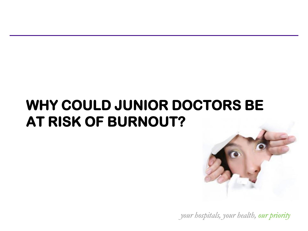### **WHY COULD JUNIOR DOCTORS BE AT RISK OF BURNOUT?**

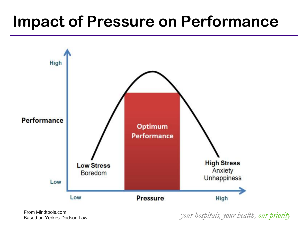### **Impact of Pressure on Performance**



From Mindtools.com Based on Yerkes-Dodson Law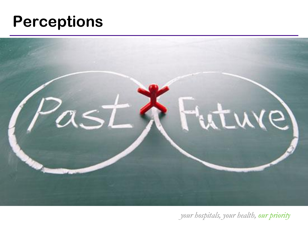### **Perceptions**

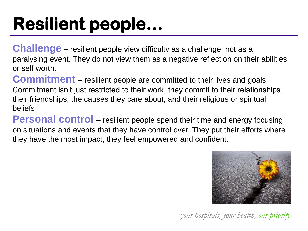# **Resilient people…**

**Challenge** – resilient people view difficulty as a challenge, not as a paralysing event. They do not view them as a negative reflection on their abilities or self worth.

**Commitment** – resilient people are committed to their lives and goals. Commitment isn't just restricted to their work, they commit to their relationships, their friendships, the causes they care about, and their religious or spiritual beliefs

**Personal control** – resilient people spend their time and energy focusing on situations and events that they have control over. They put their efforts where they have the most impact, they feel empowered and confident.

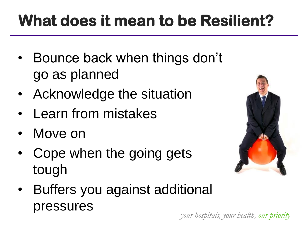# **What does it mean to be Resilient?**

- Bounce back when things don't go as planned
- Acknowledge the situation
- Learn from mistakes
- Move on
- Cope when the going gets tough



• Buffers you against additional pressures

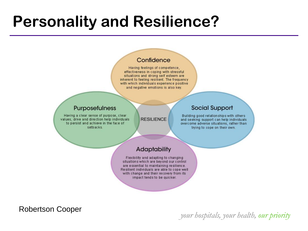### **Personality and Resilience?**

#### Confidence

Having feelings of competence, effectiveness in coping with stressful situations and strong self esteem are inherent to feeling resilient. The frequency with which individuals experience positive and negative emotions is also key.

#### Purposefulness

Having a clear sense of purpose, clear values, drive and direction help individuals to persist and achieve in the face of setbacks.

**RESILIENCE** 

#### **Social Support**

Building good relationships with others and seeking support can help individuals overcome adverse situations, rather than trying to cope on their own.

#### Adaptability

Flexibility and adapting to changing situations which are beyond our control are essential to maintaining resilience. Resilient individuals are able to cope well with change and their recovery from its impact tends to be quicker.

Robertson Cooper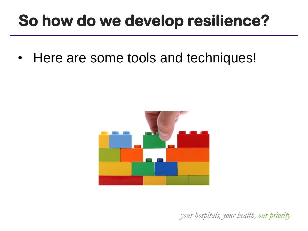### **So how do we develop resilience?**

• Here are some tools and techniques!

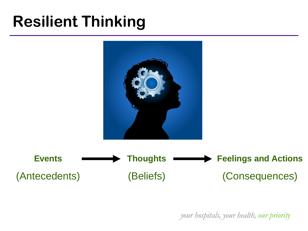## **Resilient Thinking**

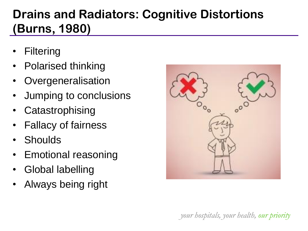### **Drains and Radiators: Cognitive Distortions (Burns, 1980)**

- **Filtering**
- Polarised thinking
- **Overgeneralisation**
- Jumping to conclusions
- **Catastrophising**
- Fallacy of fairness
- **Shoulds**
- Emotional reasoning
- Global labelling
- Always being right

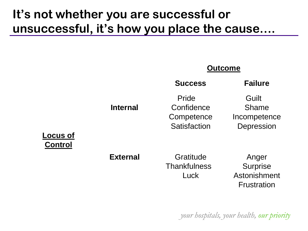#### **It's not whether you are successful or unsuccessful, it's how you place the cause….**

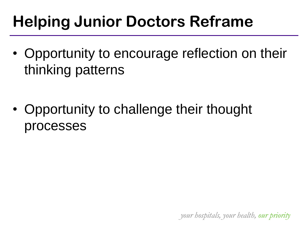## **Helping Junior Doctors Reframe**

- Opportunity to encourage reflection on their thinking patterns
- Opportunity to challenge their thought processes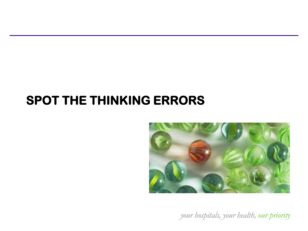### **SPOT THE THINKING ERRORS**

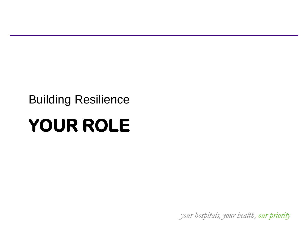#### Building Resilience

# **YOUR ROLE**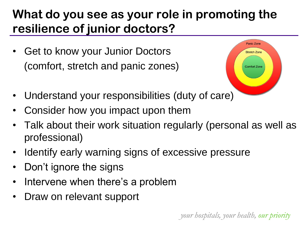### **What do you see as your role in promoting the resilience of junior doctors?**

Get to know your Junior Doctors (comfort, stretch and panic zones)



- Understand your responsibilities (duty of care)
- Consider how you impact upon them
- Talk about their work situation regularly (personal as well as professional)
- Identify early warning signs of excessive pressure
- Don't ignore the signs
- Intervene when there's a problem
- Draw on relevant support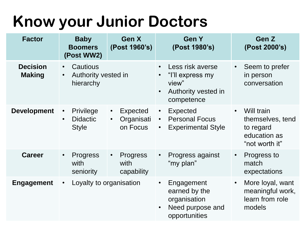## **Know your Junior Doctors**

| <b>Factor</b>                    | <b>Baby</b><br><b>Boomers</b><br>(Post WW2)                            | Gen X<br>(Post 1960's)                                              | <b>Gen Y</b><br>(Post 1980's)                                                                                | Gen Z<br>(Post 2000's)                                                                     |
|----------------------------------|------------------------------------------------------------------------|---------------------------------------------------------------------|--------------------------------------------------------------------------------------------------------------|--------------------------------------------------------------------------------------------|
| <b>Decision</b><br><b>Making</b> | Cautious<br>$\bullet$<br>Authority vested in<br>$\bullet$<br>hierarchy |                                                                     | Less risk averse<br>$\bullet$<br>"I'll express my<br>view"<br>Authority vested in<br>$\bullet$<br>competence | Seem to prefer<br>$\bullet$<br>in person<br>conversation                                   |
| <b>Development</b>               | Privilege<br>$\bullet$<br><b>Didactic</b><br>$\bullet$<br><b>Style</b> | <b>Expected</b><br>$\bullet$<br>Organisati<br>$\bullet$<br>on Focus | Expected<br>$\bullet$<br><b>Personal Focus</b><br>$\bullet$<br><b>Experimental Style</b><br>$\bullet$        | Will train<br>$\bullet$<br>themselves, tend<br>to regard<br>education as<br>"not worth it" |
| <b>Career</b>                    | <b>Progress</b><br>$\bullet$<br>with<br>seniority                      | <b>Progress</b><br>$\bullet$<br>with<br>capability                  | Progress against<br>$\bullet$<br>"my plan"                                                                   | Progress to<br>$\bullet$<br>match<br>expectations                                          |
| <b>Engagement</b>                | Loyalty to organisation<br>$\bullet$                                   |                                                                     | Engagement<br>earned by the<br>organisation<br>Need purpose and<br>$\bullet$<br>opportunities                | More loyal, want<br>$\bullet$<br>meaningful work,<br>learn from role<br>models             |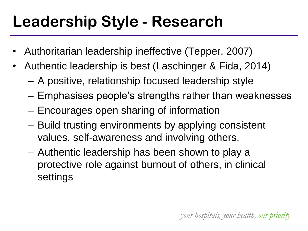## **Leadership Style - Research**

- Authoritarian leadership ineffective (Tepper, 2007)
- Authentic leadership is best (Laschinger & Fida, 2014)
	- A positive, relationship focused leadership style
	- Emphasises people's strengths rather than weaknesses
	- Encourages open sharing of information
	- Build trusting environments by applying consistent values, self-awareness and involving others.
	- Authentic leadership has been shown to play a protective role against burnout of others, in clinical settings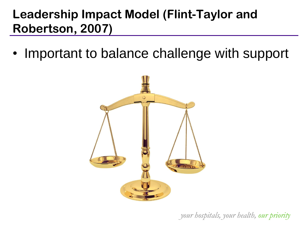#### **Leadership Impact Model (Flint-Taylor and Robertson, 2007)**

• Important to balance challenge with support

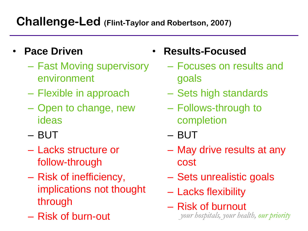#### **Challenge-Led (Flint-Taylor and Robertson, 2007)**

- **Pace Driven**
	- Fast Moving supervisory environment
	- Flexible in approach
	- Open to change, new ideas
	- BUT
	- Lacks structure or follow-through
	- Risk of inefficiency, implications not thought through
	- Risk of burn-out
- **Results-Focused**
	- Focuses on results and goals
	- Sets high standards
	- Follows-through to completion
	- BUT
	- May drive results at any cost
	- Sets unrealistic goals
	- Lacks flexibility
	- *your hospitals, your health, our priority* – Risk of burnout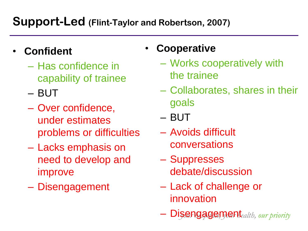#### **Support-Led (Flint-Taylor and Robertson, 2007)**

- **Confident**
	- Has confidence in capability of trainee
	- BUT
	- Over confidence, under estimates problems or difficulties
	- Lacks emphasis on need to develop and improve
	- Disengagement

#### • **Cooperative**

- Works cooperatively with the trainee
- Collaborates, shares in their goals
- BUT
- Avoids difficult conversations
- Suppresses debate/discussion
- Lack of challenge or innovation
- *your hospitals, your health, our priority* Disengagement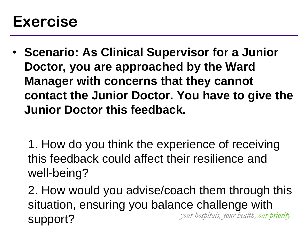### **Exercise**

- **Scenario: As Clinical Supervisor for a Junior Doctor, you are approached by the Ward Manager with concerns that they cannot contact the Junior Doctor. You have to give the Junior Doctor this feedback.**
	- 1. How do you think the experience of receiving this feedback could affect their resilience and well-being?
	- *your hospitals, your health, our priority* 2. How would you advise/coach them through this situation, ensuring you balance challenge with support?